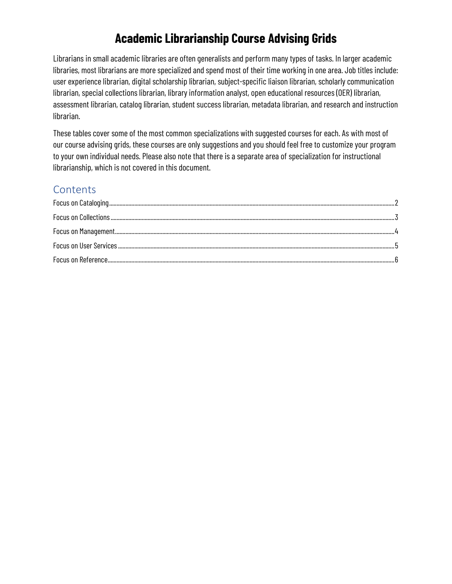## **Academic Librarianship Course Advising Grids**

Librarians in small academic libraries are often generalists and perform many types of tasks. In larger academic libraries, most librarians are more specialized and spend most of their time working in one area. Job titles include: user experience librarian, digital scholarship librarian, subject-specific liaison librarian, scholarly communication librarian, special collections librarian, library information analyst, open educational resources (OER) librarian, assessment librarian, catalog librarian, student success librarian, metadata librarian, and research and instruction librarian.

These tables cover some of the most common specializations with suggested courses for each. As with most of our course advising grids, these courses are only suggestions and you should feel free to customize your program to your own individual needs. Please also note that there is a separate area of specialization for instructional librarianship, which is not covered in this document.

#### **Contents**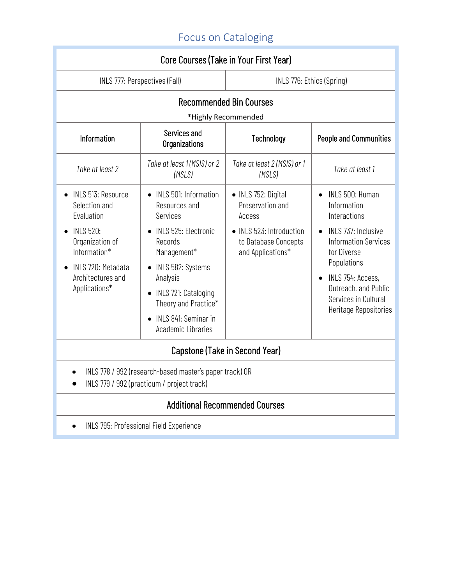# Focus on Cataloging

<span id="page-1-0"></span>

| Core Courses (Take in Your First Year)                                                                                                                                      |                                                                                                                                                                                                                                                     |                                                                                                                            |                                                                                                                                                                                                                                  |
|-----------------------------------------------------------------------------------------------------------------------------------------------------------------------------|-----------------------------------------------------------------------------------------------------------------------------------------------------------------------------------------------------------------------------------------------------|----------------------------------------------------------------------------------------------------------------------------|----------------------------------------------------------------------------------------------------------------------------------------------------------------------------------------------------------------------------------|
| INLS 777: Perspectives (Fall)                                                                                                                                               |                                                                                                                                                                                                                                                     | INLS 776: Ethics (Spring)                                                                                                  |                                                                                                                                                                                                                                  |
| <b>Recommended Bin Courses</b>                                                                                                                                              |                                                                                                                                                                                                                                                     |                                                                                                                            |                                                                                                                                                                                                                                  |
|                                                                                                                                                                             | *Highly Recommended                                                                                                                                                                                                                                 |                                                                                                                            |                                                                                                                                                                                                                                  |
| Information                                                                                                                                                                 | Services and<br>Organizations                                                                                                                                                                                                                       | Technology                                                                                                                 | <b>People and Communities</b>                                                                                                                                                                                                    |
| Take at least 2                                                                                                                                                             | Take at least 1 (MSIS) or 2<br>(MSLS)                                                                                                                                                                                                               | Take at least 2 (MSIS) or 1<br>(MSLS)                                                                                      | Take at least 1                                                                                                                                                                                                                  |
| <b>INLS 513: Resource</b><br>Selection and<br>Evaluation<br><b>INLS 520:</b><br>Organization of<br>Information*<br>INLS 720: Metadata<br>Architectures and<br>Applications* | • INLS 501: Information<br>Resources and<br>Services<br><b>INLS 525: Electronic</b><br>Records<br>Management*<br>INLS 582: Systems<br>Analysis<br>INLS 721: Cataloging<br>Theory and Practice*<br>INLS 841: Seminar in<br><b>Academic Libraries</b> | • INLS 752: Digital<br>Preservation and<br>Access<br>• INLS 523: Introduction<br>to Database Concepts<br>and Applications* | INLS 500: Human<br>Information<br>Interactions<br>INLS 737: Inclusive<br><b>Information Services</b><br>for Diverse<br>Populations<br>INLS 754: Access,<br>Outreach, and Public<br>Services in Cultural<br>Heritage Repositories |
| Capstone (Take in Second Year)                                                                                                                                              |                                                                                                                                                                                                                                                     |                                                                                                                            |                                                                                                                                                                                                                                  |
| INLS 778 / 992 (research-based master's paper track) OR<br>INLS 779 / 992 (practicum / project track)                                                                       |                                                                                                                                                                                                                                                     |                                                                                                                            |                                                                                                                                                                                                                                  |
| <b>Additional Recommended Courses</b>                                                                                                                                       |                                                                                                                                                                                                                                                     |                                                                                                                            |                                                                                                                                                                                                                                  |

• INLS 795: Professional Field Experience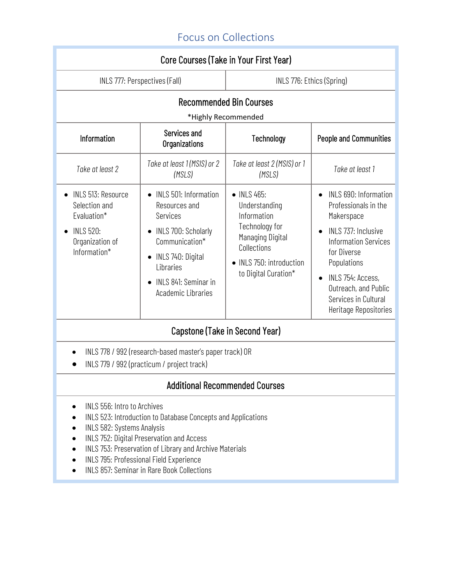## Focus on Collections

<span id="page-2-0"></span>

| Core Courses (Take in Your First Year)                                                                           |                                                                                                                                                                                    |                                                                                                                                                    |                                                                                                                                                                                                                                                            |
|------------------------------------------------------------------------------------------------------------------|------------------------------------------------------------------------------------------------------------------------------------------------------------------------------------|----------------------------------------------------------------------------------------------------------------------------------------------------|------------------------------------------------------------------------------------------------------------------------------------------------------------------------------------------------------------------------------------------------------------|
| INLS 777: Perspectives (Fall)                                                                                    |                                                                                                                                                                                    | INLS 776: Ethics (Spring)                                                                                                                          |                                                                                                                                                                                                                                                            |
| <b>Recommended Bin Courses</b><br>*Highly Recommended                                                            |                                                                                                                                                                                    |                                                                                                                                                    |                                                                                                                                                                                                                                                            |
| Information                                                                                                      | Services and<br>Organizations                                                                                                                                                      | Technology                                                                                                                                         | <b>People and Communities</b>                                                                                                                                                                                                                              |
| Take at least 2                                                                                                  | Take at least 1 (MSIS) or 2<br>(MSLS)                                                                                                                                              | Take at least 2 (MSIS) or 1<br>(MSLS)                                                                                                              | Take at least 1                                                                                                                                                                                                                                            |
| <b>INLS 513: Resource</b><br>Selection and<br>Evaluation*<br><b>INLS 520:</b><br>Organization of<br>Information* | INLS 501: Information<br>Resources and<br>Services<br>INLS 700: Scholarly<br>Communication*<br>INLS 740: Digital<br>Libraries<br>INLS 841: Seminar in<br><b>Academic Libraries</b> | • INLS 465:<br>Understanding<br>Information<br>Technology for<br>Managing Digital<br>Collections<br>INLS 750: introduction<br>to Digital Curation* | INLS 690: Information<br>Professionals in the<br>Makerspace<br>INLS 737: Inclusive<br><b>Information Services</b><br>for Diverse<br>Populations<br>INLS 754: Access,<br>$\bullet$<br>Outreach, and Public<br>Services in Cultural<br>Heritage Repositories |
| Capstone (Take in Second Year)                                                                                   |                                                                                                                                                                                    |                                                                                                                                                    |                                                                                                                                                                                                                                                            |

- INLS 778 / 992 (research-based master's paper track) OR
- INLS 779 / 992 (practicum / project track)

- INLS 556: Intro to Archives
- INLS 523: Introduction to Database Concepts and Applications
- INLS 582: Systems Analysis
- INLS 752: Digital Preservation and Access
- INLS 753: Preservation of Library and Archive Materials
- INLS 795: Professional Field Experience
- INLS 857: Seminar in Rare Book Collections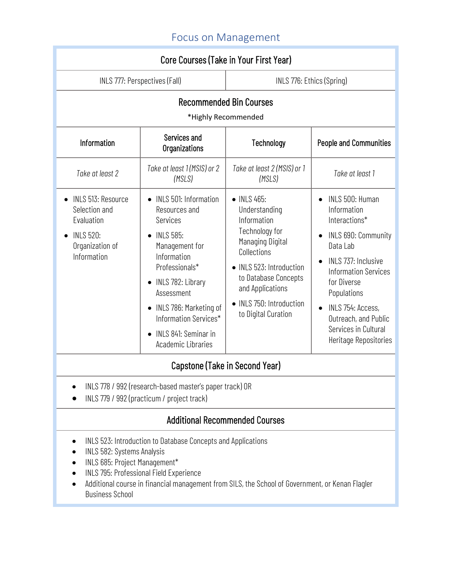## Focus on Management

<span id="page-3-0"></span>

| Core Courses (Take in Your First Year)                                                                                                                                                                                                                                                                                                                                                                                                               |                                                                                                                                                                                                                                                                      |                                                                                                                                                                                                                             |                                                                                                                                                                                                                                                                                                             |
|------------------------------------------------------------------------------------------------------------------------------------------------------------------------------------------------------------------------------------------------------------------------------------------------------------------------------------------------------------------------------------------------------------------------------------------------------|----------------------------------------------------------------------------------------------------------------------------------------------------------------------------------------------------------------------------------------------------------------------|-----------------------------------------------------------------------------------------------------------------------------------------------------------------------------------------------------------------------------|-------------------------------------------------------------------------------------------------------------------------------------------------------------------------------------------------------------------------------------------------------------------------------------------------------------|
| INLS 777: Perspectives (Fall)                                                                                                                                                                                                                                                                                                                                                                                                                        |                                                                                                                                                                                                                                                                      | INLS 776: Ethics (Spring)                                                                                                                                                                                                   |                                                                                                                                                                                                                                                                                                             |
| <b>Recommended Bin Courses</b><br>*Highly Recommended                                                                                                                                                                                                                                                                                                                                                                                                |                                                                                                                                                                                                                                                                      |                                                                                                                                                                                                                             |                                                                                                                                                                                                                                                                                                             |
| Information                                                                                                                                                                                                                                                                                                                                                                                                                                          | Services and<br>Organizations                                                                                                                                                                                                                                        | Technology                                                                                                                                                                                                                  | <b>People and Communities</b>                                                                                                                                                                                                                                                                               |
| Take at least 2                                                                                                                                                                                                                                                                                                                                                                                                                                      | Take at least 1 (MSIS) or 2<br>(MSLS)                                                                                                                                                                                                                                | Take at least 2 (MSIS) or 1<br>(MSLS)                                                                                                                                                                                       | Take at least 1                                                                                                                                                                                                                                                                                             |
| <b>INLS 513: Resource</b><br>Selection and<br>Evaluation<br><b>INLS 520:</b><br>Organization of<br>Information                                                                                                                                                                                                                                                                                                                                       | INLS 501: Information<br>Resources and<br>Services<br><b>INLS 585:</b><br>Management for<br>Information<br>Professionals*<br>INLS 782: Library<br>Assessment<br>INLS 786: Marketing of<br>Information Services*<br>INLS 841: Seminar in<br><b>Academic Libraries</b> | • INLS 465:<br>Understanding<br>Information<br>Technology for<br>Managing Digital<br>Collections<br>• INLS 523: Introduction<br>to Database Concepts<br>and Applications<br>• INLS 750: Introduction<br>to Digital Curation | INLS 500: Human<br>$\bullet$<br>Information<br>Interactions*<br>INLS 690: Community<br>$\bullet$<br>Data Lab<br>INLS 737: Inclusive<br><b>Information Services</b><br>for Diverse<br>Populations<br>INLS 754: Access,<br>$\bullet$<br>Outreach, and Public<br>Services in Cultural<br>Heritage Repositories |
| Capstone (Take in Second Year)                                                                                                                                                                                                                                                                                                                                                                                                                       |                                                                                                                                                                                                                                                                      |                                                                                                                                                                                                                             |                                                                                                                                                                                                                                                                                                             |
| INLS 778 / 992 (research-based master's paper track) OR<br>$1110.770 \pm 0.00$ $\left(\frac{1}{2} + \frac{1}{2} + \frac{1}{2} + \frac{1}{2} + \frac{1}{2} + \frac{1}{2} + \frac{1}{2} + \frac{1}{2} + \frac{1}{2} + \frac{1}{2} + \frac{1}{2} + \frac{1}{2} + \frac{1}{2} + \frac{1}{2} + \frac{1}{2} + \frac{1}{2} + \frac{1}{2} + \frac{1}{2} + \frac{1}{2} + \frac{1}{2} + \frac{1}{2} + \frac{1}{2} + \frac{1}{2} + \frac{1}{2} + \frac{1}{2} +$ |                                                                                                                                                                                                                                                                      |                                                                                                                                                                                                                             |                                                                                                                                                                                                                                                                                                             |

• INLS 779 / 992 (practicum / project track)

- INLS 523: Introduction to Database Concepts and Applications
- INLS 582: Systems Analysis
- INLS 685: Project Management\*
- INLS 795: Professional Field Experience
- Additional course in financial management from SILS, the School of Government, or Kenan Flagler Business School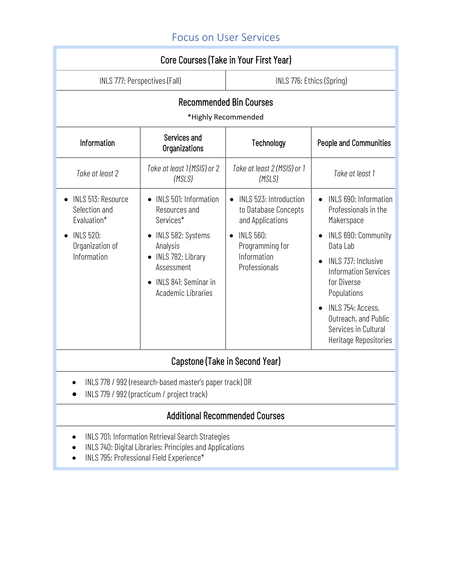## Focus on User Services

<span id="page-4-0"></span>

| Core Courses (Take in Your First Year)                                                                          |                                                                                                                                                                                       |                                                                                                                                           |                                                                                                                                                                                                                                                                                                            |
|-----------------------------------------------------------------------------------------------------------------|---------------------------------------------------------------------------------------------------------------------------------------------------------------------------------------|-------------------------------------------------------------------------------------------------------------------------------------------|------------------------------------------------------------------------------------------------------------------------------------------------------------------------------------------------------------------------------------------------------------------------------------------------------------|
| INLS 777: Perspectives (Fall)                                                                                   |                                                                                                                                                                                       | INLS 776: Ethics (Spring)                                                                                                                 |                                                                                                                                                                                                                                                                                                            |
| <b>Recommended Bin Courses</b><br>*Highly Recommended                                                           |                                                                                                                                                                                       |                                                                                                                                           |                                                                                                                                                                                                                                                                                                            |
| Information                                                                                                     | Services and<br>Organizations                                                                                                                                                         | Technology                                                                                                                                | <b>People and Communities</b>                                                                                                                                                                                                                                                                              |
| Take at least 2                                                                                                 | Take at least 1 (MSIS) or 2<br>(MSLS)                                                                                                                                                 | Take at least 2 (MSIS) or 1<br>(MSLS)                                                                                                     | Take at least 1                                                                                                                                                                                                                                                                                            |
| <b>INLS 513: Resource</b><br>Selection and<br>Evaluation*<br><b>INLS 520:</b><br>Organization of<br>Information | <b>INLS 501: Information</b><br>Resources and<br>Services*<br>• INLS 582: Systems<br>Analysis<br>INLS 782: Library<br>Assessment<br>INLS 841: Seminar in<br><b>Academic Libraries</b> | INLS 523: Introduction<br>to Database Concepts<br>and Applications<br><b>INLS 560:</b><br>Programming for<br>Information<br>Professionals | INLS 690: Information<br>Professionals in the<br>Makerspace<br>INLS 690: Community<br>Data Lab<br>INLS 737: Inclusive<br>$\bullet$<br><b>Information Services</b><br>for Diverse<br>Populations<br>INLS 754: Access,<br>$\bullet$<br>Outreach, and Public<br>Services in Cultural<br>Heritage Repositories |
| Capstone (Take in Second Year)                                                                                  |                                                                                                                                                                                       |                                                                                                                                           |                                                                                                                                                                                                                                                                                                            |
| INLS 778 / 992 (research-based master's paper track) OR<br>INLS 779 / 992 (practicum / project track)           |                                                                                                                                                                                       |                                                                                                                                           |                                                                                                                                                                                                                                                                                                            |

- INLS 701: Information Retrieval Search Strategies
- INLS 740: Digital Libraries: Principles and Applications
- INLS 795: Professional Field Experience\*